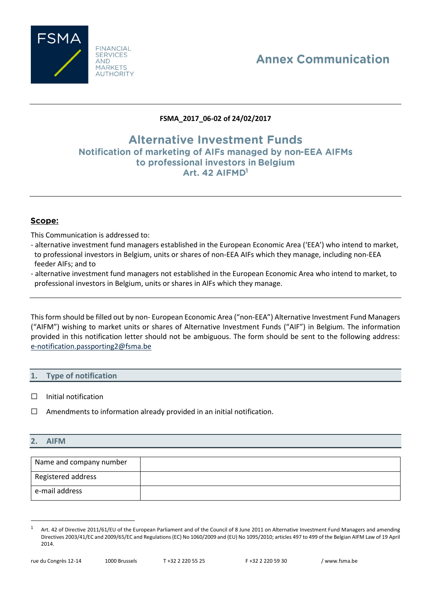

**Annex Communication** 

### **FSMA\_2017\_06-02 of 24/02/2017**

# **Alternative Investment Funds** Notification of marketing of AIFs managed by non-EEA AIFMs to professional investors in Belgium Art. 42 AIFMD<sup>1</sup>

## Scope:

This Communication is addressed to:

- alternative investment fund managers established in the European Economic Area ('EEA') who intend to market, to professional investors in Belgium, units or shares of non-EEA AIFs which they manage, including non-EEA feeder AIFs; and to
- alternative investment fund managers not established in the European Economic Area who intend to market, to professional investors in Belgium, units or shares in AIFs which they manage.

This form should be filled out by non- European Economic Area ("non-EEA") Alternative Investment Fund Managers ("AIFM") wishing to market units or shares of Alternative Investment Funds ("AIF") in Belgium. The information provided in this notification letter should not be ambiguous. The form should be sent to the following address: [e-notification.passporting2@fsma.be](mailto:e-notification.passporting2@fsma.be)

### **1. Type of notification**

- ☐ Initial notification
- $\Box$  Amendments to information already provided in an initial notification.

### **2. AIFM**

 $\ddot{\phantom{a}}$ 

| Name and company number |  |
|-------------------------|--|
| Registered address      |  |
| e-mail address          |  |

<sup>&</sup>lt;sup>1</sup> Art. 42 of Directive 2011/61/EU of the European Parliament and of the Council of 8 June 2011 on Alternative Investment Fund Managers and amending Directives 2003/41/EC and 2009/65/EC and Regulations (EC) No 1060/2009 and (EU) No 1095/2010; articles 497 to 499 of the Belgian AIFM Law of 19 April 2014.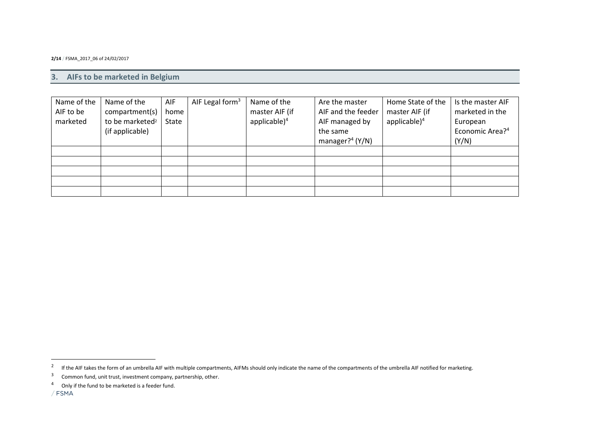**2/14 /** FSMA\_2017\_06 of 24/02/2017

# **3. AIFs to be marketed in Belgium**

| Name of the | Name of the                 | AIF   | AIF Legal form $3$ | Name of the      | Are the master     | Home State of the | Is the master AIF           |
|-------------|-----------------------------|-------|--------------------|------------------|--------------------|-------------------|-----------------------------|
| AIF to be   | compartment(s)              | home  |                    | master AIF (if   | AIF and the feeder | master AIF (if    | marketed in the             |
| marketed    | to be marketed <sup>2</sup> | State |                    | applicable $)^4$ | AIF managed by     | applicable $)^4$  | European                    |
|             | (if applicable)             |       |                    |                  | the same           |                   | Economic Area? <sup>4</sup> |
|             |                             |       |                    |                  | manager? $4 (Y/N)$ |                   | (Y/N)                       |
|             |                             |       |                    |                  |                    |                   |                             |
|             |                             |       |                    |                  |                    |                   |                             |
|             |                             |       |                    |                  |                    |                   |                             |
|             |                             |       |                    |                  |                    |                   |                             |
|             |                             |       |                    |                  |                    |                   |                             |

If the AIF takes the form of an umbrella AIF with multiple compartments, AIFMs should only indicate the name of the compartments of the umbrella AIF notified for marketing.

<sup>&</sup>lt;sup>3</sup> Common fund, unit trust, investment company, partnership, other.

<sup>&</sup>lt;sup>4</sup> Only if the fund to be marketed is a feeder fund.<br> $\sqrt{FSMA}$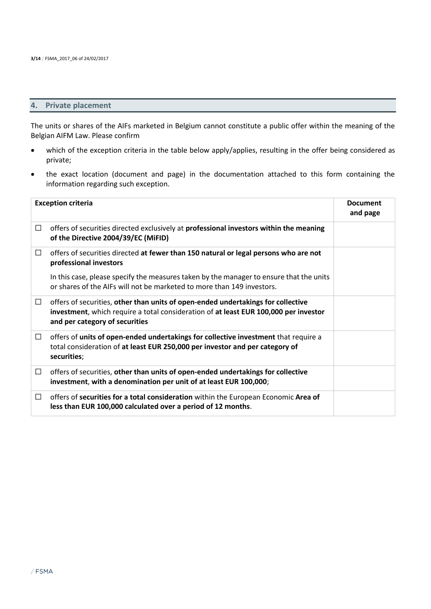### **4. Private placement**

The units or shares of the AIFs marketed in Belgium cannot constitute a public offer within the meaning of the Belgian AIFM Law. Please confirm

- which of the exception criteria in the table below apply/applies, resulting in the offer being considered as private;
- the exact location (document and page) in the documentation attached to this form containing the information regarding such exception.

|        | <b>Exception criteria</b>                                                                                                                                                                                  | <b>Document</b><br>and page |
|--------|------------------------------------------------------------------------------------------------------------------------------------------------------------------------------------------------------------|-----------------------------|
| $\Box$ | offers of securities directed exclusively at <b>professional investors within the meaning</b><br>of the Directive 2004/39/EC (MiFID)                                                                       |                             |
| $\Box$ | offers of securities directed at fewer than 150 natural or legal persons who are not<br>professional investors                                                                                             |                             |
|        | In this case, please specify the measures taken by the manager to ensure that the units<br>or shares of the AIFs will not be marketed to more than 149 investors.                                          |                             |
| $\Box$ | offers of securities, other than units of open-ended undertakings for collective<br>investment, which require a total consideration of at least EUR 100,000 per investor<br>and per category of securities |                             |
| $\Box$ | offers of units of open-ended undertakings for collective investment that require a<br>total consideration of at least EUR 250,000 per investor and per category of<br>securities;                         |                             |
| $\Box$ | offers of securities, other than units of open-ended undertakings for collective<br>investment, with a denomination per unit of at least EUR 100,000;                                                      |                             |
| $\Box$ | offers of securities for a total consideration within the European Economic Area of<br>less than EUR 100,000 calculated over a period of 12 months.                                                        |                             |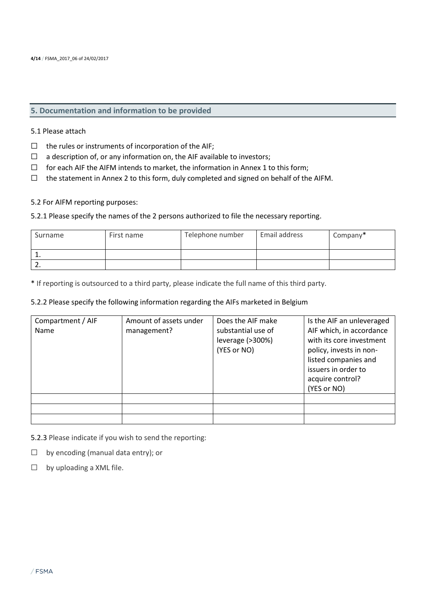#### **5. Documentation and information to be provided**

### 5.1 Please attach

- $\Box$  the rules or instruments of incorporation of the AIF;
- $\Box$  a description of, or any information on, the AIF available to investors;
- $\Box$  for each AIF the AIFM intends to market, the information in Annex 1 to this form;
- ☐ the statement in Annex 2 to this form, duly completed and signed on behalf of the AIFM.

### 5.2 For AIFM reporting purposes:

### 5.2.1 Please specify the names of the 2 persons authorized to file the necessary reporting.

| Surname  | First name | Telephone number | Email address | Company* |
|----------|------------|------------------|---------------|----------|
| . .      |            |                  |               |          |
| <u>.</u> |            |                  |               |          |

\* If reporting is outsourced to a third party, please indicate the full name of this third party.

### 5.2.2 Please specify the following information regarding the AIFs marketed in Belgium

| Compartment / AIF<br>Name | Amount of assets under<br>management? | Does the AIF make<br>substantial use of<br>leverage (>300%)<br>(YES or NO) | Is the AIF an unleveraged<br>AIF which, in accordance<br>with its core investment<br>policy, invests in non-<br>listed companies and<br>issuers in order to<br>acquire control?<br>(YES or NO) |
|---------------------------|---------------------------------------|----------------------------------------------------------------------------|------------------------------------------------------------------------------------------------------------------------------------------------------------------------------------------------|
|                           |                                       |                                                                            |                                                                                                                                                                                                |
|                           |                                       |                                                                            |                                                                                                                                                                                                |

5.2.3 Please indicate if you wish to send the reporting:

- $\Box$  by encoding (manual data entry); or
- ☐ by uploading a XML file.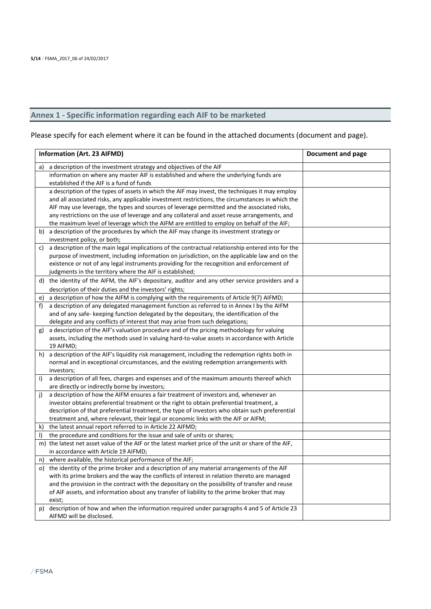# **Annex 1 - Specific information regarding each AIF to be marketed**

# Please specify for each element where it can be found in the attached documents (document and page).

|         | Information (Art. 23 AIFMD)                                                                          | Document and page |
|---------|------------------------------------------------------------------------------------------------------|-------------------|
| a)      | a description of the investment strategy and objectives of the AIF                                   |                   |
|         | information on where any master AIF is established and where the underlying funds are                |                   |
|         | established if the AIF is a fund of funds                                                            |                   |
|         | a description of the types of assets in which the AIF may invest, the techniques it may employ       |                   |
|         | and all associated risks, any applicable investment restrictions, the circumstances in which the     |                   |
|         | AIF may use leverage, the types and sources of leverage permitted and the associated risks,          |                   |
|         | any restrictions on the use of leverage and any collateral and asset reuse arrangements, and         |                   |
|         | the maximum level of leverage which the AIFM are entitled to employ on behalf of the AIF;            |                   |
|         | b) a description of the procedures by which the AIF may change its investment strategy or            |                   |
|         | investment policy, or both;                                                                          |                   |
| C)      | a description of the main legal implications of the contractual relationship entered into for the    |                   |
|         | purpose of investment, including information on jurisdiction, on the applicable law and on the       |                   |
|         | existence or not of any legal instruments providing for the recognition and enforcement of           |                   |
|         | judgments in the territory where the AIF is established;                                             |                   |
|         | d) the identity of the AIFM, the AIF's depositary, auditor and any other service providers and a     |                   |
|         | description of their duties and the investors' rights;                                               |                   |
| e)      | a description of how the AIFM is complying with the requirements of Article 9(7) AIFMD;              |                   |
| f)      | a description of any delegated management function as referred to in Annex I by the AIFM             |                   |
|         | and of any safe- keeping function delegated by the depositary, the identification of the             |                   |
|         | delegate and any conflicts of interest that may arise from such delegations;                         |                   |
| g)      | a description of the AIF's valuation procedure and of the pricing methodology for valuing            |                   |
|         | assets, including the methods used in valuing hard-to-value assets in accordance with Article        |                   |
|         | 19 AIFMD;                                                                                            |                   |
|         | h) a description of the AIF's liquidity risk management, including the redemption rights both in     |                   |
|         | normal and in exceptional circumstances, and the existing redemption arrangements with               |                   |
|         | investors;                                                                                           |                   |
| i)      | a description of all fees, charges and expenses and of the maximum amounts thereof which             |                   |
|         | are directly or indirectly borne by investors;                                                       |                   |
| j)      | a description of how the AIFM ensures a fair treatment of investors and, whenever an                 |                   |
|         | investor obtains preferential treatment or the right to obtain preferential treatment, a             |                   |
|         | description of that preferential treatment, the type of investors who obtain such preferential       |                   |
|         | treatment and, where relevant, their legal or economic links with the AIF or AIFM;                   |                   |
| k)      | the latest annual report referred to in Article 22 AIFMD;                                            |                   |
| $\vert$ | the procedure and conditions for the issue and sale of units or shares;                              |                   |
|         | m) the latest net asset value of the AIF or the latest market price of the unit or share of the AIF, |                   |
|         | in accordance with Article 19 AIFMD;                                                                 |                   |
| n)      | where available, the historical performance of the AIF;                                              |                   |
|         | o) the identity of the prime broker and a description of any material arrangements of the AIF        |                   |
|         | with its prime brokers and the way the conflicts of interest in relation thereto are managed         |                   |
|         | and the provision in the contract with the depositary on the possibility of transfer and reuse       |                   |
|         | of AIF assets, and information about any transfer of liability to the prime broker that may          |                   |
|         | exist;                                                                                               |                   |
| p)      | description of how and when the information required under paragraphs 4 and 5 of Article 23          |                   |
|         | AIFMD will be disclosed.                                                                             |                   |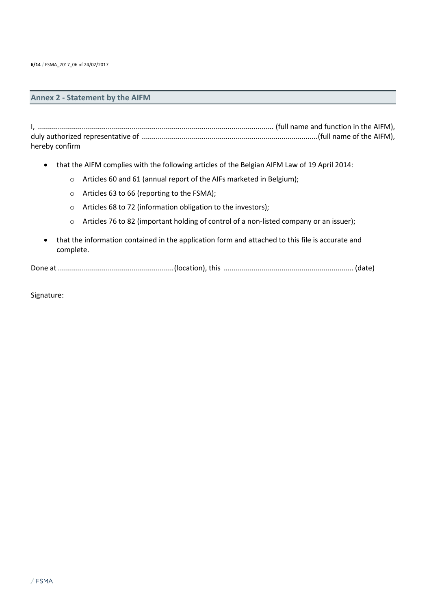**6/14 /** FSMA\_2017\_06 of 24/02/2017

### **Annex 2 - Statement by the AIFM**

I, ...................................................................................................................... (full name and function in the AIFM), duly authorized representative of ........................................................................................(full name of the AIFM), hereby confirm

- that the AIFM complies with the following articles of the Belgian AIFM Law of 19 April 2014:
	- o Articles 60 and 61 (annual report of the AIFs marketed in Belgium);
	- o Articles 63 to 66 (reporting to the FSMA);
	- o Articles 68 to 72 (information obligation to the investors);
	- o Articles 76 to 82 (important holding of control of a non-listed company or an issuer);
- that the information contained in the application form and attached to this file is accurate and complete.

|  | Done at …………………………………………………(location), this ………………………………………………………………(date) |  |
|--|----------------------------------------------------------------------------|--|
|--|----------------------------------------------------------------------------|--|

Signature: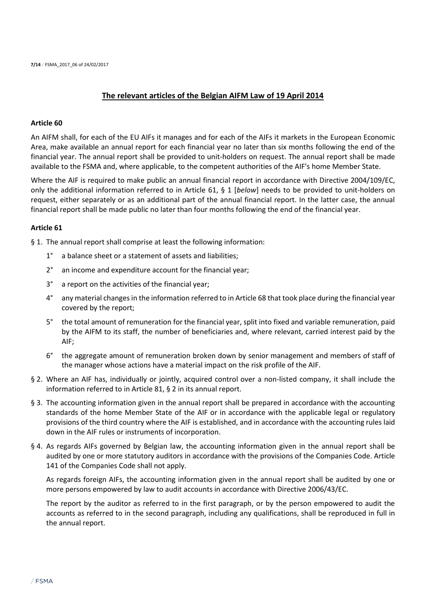### **The relevant articles of the Belgian AIFM Law of 19 April 2014**

#### **Article 60**

An AIFM shall, for each of the EU AIFs it manages and for each of the AIFs it markets in the European Economic Area, make available an annual report for each financial year no later than six months following the end of the financial year. The annual report shall be provided to unit-holders on request. The annual report shall be made available to the FSMA and, where applicable, to the competent authorities of the AIF's home Member State.

Where the AIF is required to make public an annual financial report in accordance with Directive 2004/109/EC, only the additional information referred to in Article 61, § 1 [*below*] needs to be provided to unit-holders on request, either separately or as an additional part of the annual financial report. In the latter case, the annual financial report shall be made public no later than four months following the end of the financial year.

### **Article 61**

§ 1. The annual report shall comprise at least the following information:

- 1° a balance sheet or a statement of assets and liabilities;
- 2° an income and expenditure account for the financial year;
- 3° a report on the activities of the financial year;
- 4° any material changes in the information referred to in Article 68 that took place during the financial year covered by the report;
- 5° the total amount of remuneration for the financial year, split into fixed and variable remuneration, paid by the AIFM to its staff, the number of beneficiaries and, where relevant, carried interest paid by the AIF;
- 6° the aggregate amount of remuneration broken down by senior management and members of staff of the manager whose actions have a material impact on the risk profile of the AIF.
- § 2. Where an AIF has, individually or jointly, acquired control over a non-listed company, it shall include the information referred to in Article 81, § 2 in its annual report.
- § 3. The accounting information given in the annual report shall be prepared in accordance with the accounting standards of the home Member State of the AIF or in accordance with the applicable legal or regulatory provisions of the third country where the AIF is established, and in accordance with the accounting rules laid down in the AIF rules or instruments of incorporation.
- § 4. As regards AIFs governed by Belgian law, the accounting information given in the annual report shall be audited by one or more statutory auditors in accordance with the provisions of the Companies Code. Article 141 of the Companies Code shall not apply.

As regards foreign AIFs, the accounting information given in the annual report shall be audited by one or more persons empowered by law to audit accounts in accordance with Directive 2006/43/EC.

The report by the auditor as referred to in the first paragraph, or by the person empowered to audit the accounts as referred to in the second paragraph, including any qualifications, shall be reproduced in full in the annual report.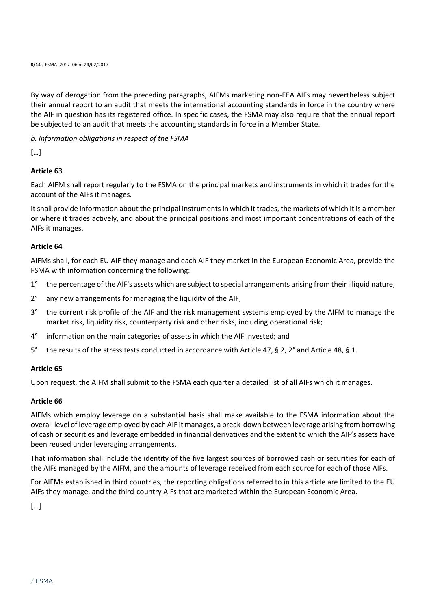**8/14 /** FSMA\_2017\_06 of 24/02/2017

By way of derogation from the preceding paragraphs, AIFMs marketing non-EEA AIFs may nevertheless subject their annual report to an audit that meets the international accounting standards in force in the country where the AIF in question has its registered office. In specific cases, the FSMA may also require that the annual report be subjected to an audit that meets the accounting standards in force in a Member State.

*b. Information obligations in respect of the FSMA*

[…]

### **Article 63**

Each AIFM shall report regularly to the FSMA on the principal markets and instruments in which it trades for the account of the AIFs it manages.

It shall provide information about the principal instruments in which it trades, the markets of which it is a member or where it trades actively, and about the principal positions and most important concentrations of each of the AIFs it manages.

### **Article 64**

AIFMs shall, for each EU AIF they manage and each AIF they market in the European Economic Area, provide the FSMA with information concerning the following:

- 1° the percentage of the AIF's assets which are subject to special arrangements arising from their illiquid nature;
- 2° any new arrangements for managing the liquidity of the AIF;
- 3° the current risk profile of the AIF and the risk management systems employed by the AIFM to manage the market risk, liquidity risk, counterparty risk and other risks, including operational risk;
- 4° information on the main categories of assets in which the AIF invested; and
- 5° the results of the stress tests conducted in accordance with Article 47, § 2, 2° and Article 48, § 1.

### **Article 65**

Upon request, the AIFM shall submit to the FSMA each quarter a detailed list of all AIFs which it manages.

### **Article 66**

AIFMs which employ leverage on a substantial basis shall make available to the FSMA information about the overall level of leverage employed by each AIF it manages, a break-down between leverage arising from borrowing of cash or securities and leverage embedded in financial derivatives and the extent to which the AIF's assets have been reused under leveraging arrangements.

That information shall include the identity of the five largest sources of borrowed cash or securities for each of the AIFs managed by the AIFM, and the amounts of leverage received from each source for each of those AIFs.

For AIFMs established in third countries, the reporting obligations referred to in this article are limited to the EU AIFs they manage, and the third-country AIFs that are marketed within the European Economic Area.

[…]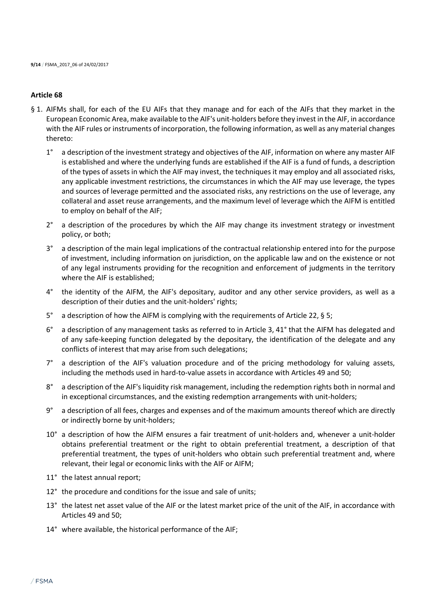### **Article 68**

- § 1. AIFMs shall, for each of the EU AIFs that they manage and for each of the AIFs that they market in the European Economic Area, make available to the AIF's unit-holders before they invest in the AIF, in accordance with the AIF rules or instruments of incorporation, the following information, as well as any material changes thereto:
	- 1° a description of the investment strategy and objectives of the AIF, information on where any master AIF is established and where the underlying funds are established if the AIF is a fund of funds, a description of the types of assets in which the AIF may invest, the techniques it may employ and all associated risks, any applicable investment restrictions, the circumstances in which the AIF may use leverage, the types and sources of leverage permitted and the associated risks, any restrictions on the use of leverage, any collateral and asset reuse arrangements, and the maximum level of leverage which the AIFM is entitled to employ on behalf of the AIF;
	- 2° a description of the procedures by which the AIF may change its investment strategy or investment policy, or both;
	- 3° a description of the main legal implications of the contractual relationship entered into for the purpose of investment, including information on jurisdiction, on the applicable law and on the existence or not of any legal instruments providing for the recognition and enforcement of judgments in the territory where the AIF is established;
	- 4° the identity of the AIFM, the AIF's depositary, auditor and any other service providers, as well as a description of their duties and the unit-holders' rights;
	- 5° a description of how the AIFM is complying with the requirements of Article 22, § 5;
	- 6° a description of any management tasks as referred to in Article 3, 41° that the AIFM has delegated and of any safe-keeping function delegated by the depositary, the identification of the delegate and any conflicts of interest that may arise from such delegations;
	- 7° a description of the AIF's valuation procedure and of the pricing methodology for valuing assets, including the methods used in hard-to-value assets in accordance with Articles 49 and 50;
	- 8° a description of the AIF's liquidity risk management, including the redemption rights both in normal and in exceptional circumstances, and the existing redemption arrangements with unit-holders;
	- 9° a description of all fees, charges and expenses and of the maximum amounts thereof which are directly or indirectly borne by unit-holders;
	- 10° a description of how the AIFM ensures a fair treatment of unit-holders and, whenever a unit-holder obtains preferential treatment or the right to obtain preferential treatment, a description of that preferential treatment, the types of unit-holders who obtain such preferential treatment and, where relevant, their legal or economic links with the AIF or AIFM;
	- 11° the latest annual report;
	- 12° the procedure and conditions for the issue and sale of units;
	- 13° the latest net asset value of the AIF or the latest market price of the unit of the AIF, in accordance with Articles 49 and 50;
	- 14° where available, the historical performance of the AIF;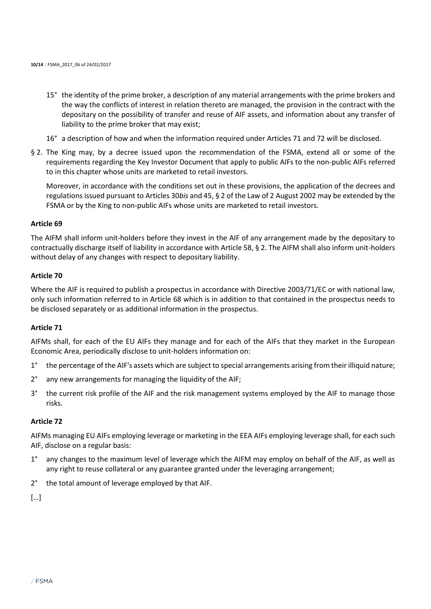- 15° the identity of the prime broker, a description of any material arrangements with the prime brokers and the way the conflicts of interest in relation thereto are managed, the provision in the contract with the depositary on the possibility of transfer and reuse of AIF assets, and information about any transfer of liability to the prime broker that may exist;
- 16° a description of how and when the information required under Articles 71 and 72 will be disclosed.
- § 2. The King may, by a decree issued upon the recommendation of the FSMA, extend all or some of the requirements regarding the Key Investor Document that apply to public AIFs to the non-public AIFs referred to in this chapter whose units are marketed to retail investors.

Moreover, in accordance with the conditions set out in these provisions, the application of the decrees and regulations issued pursuant to Articles 30*bis* and 45, § 2 of the Law of 2 August 2002 may be extended by the FSMA or by the King to non-public AIFs whose units are marketed to retail investors.

### **Article 69**

The AIFM shall inform unit-holders before they invest in the AIF of any arrangement made by the depositary to contractually discharge itself of liability in accordance with Article 58, § 2. The AIFM shall also inform unit-holders without delay of any changes with respect to depositary liability.

### **Article 70**

Where the AIF is required to publish a prospectus in accordance with Directive 2003/71/EC or with national law, only such information referred to in Article 68 which is in addition to that contained in the prospectus needs to be disclosed separately or as additional information in the prospectus.

### **Article 71**

AIFMs shall, for each of the EU AIFs they manage and for each of the AIFs that they market in the European Economic Area, periodically disclose to unit-holders information on:

- 1° the percentage of the AIF's assets which are subject to special arrangements arising from their illiquid nature;
- 2° any new arrangements for managing the liquidity of the AIF;
- 3° the current risk profile of the AIF and the risk management systems employed by the AIF to manage those risks.

#### **Article 72**

AIFMs managing EU AIFs employing leverage or marketing in the EEA AIFs employing leverage shall, for each such AIF, disclose on a regular basis:

- 1° any changes to the maximum level of leverage which the AIFM may employ on behalf of the AIF, as well as any right to reuse collateral or any guarantee granted under the leveraging arrangement;
- 2° the total amount of leverage employed by that AIF.

[…]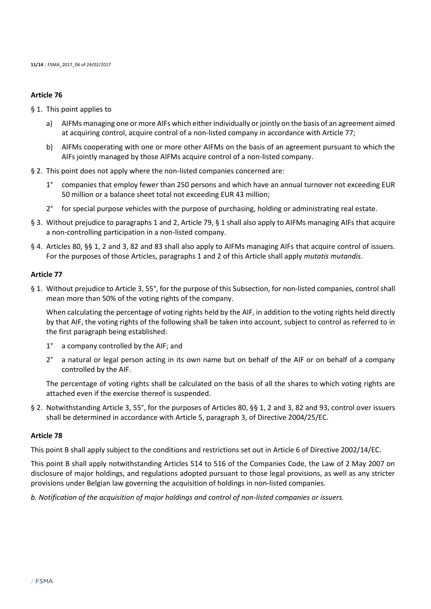### **Article 76**

- § 1. This point applies to
	- a) AIFMs managing one or more AIFs which either individually or jointly on the basis of an agreement aimed at acquiring control, acquire control of a non-listed company in accordance with Article 77;
	- b) AIFMs cooperating with one or more other AIFMs on the basis of an agreement pursuant to which the AIFs jointly managed by those AIFMs acquire control of a non-listed company.
- § 2. This point does not apply where the non-listed companies concerned are:
	- 1° companies that employ fewer than 250 persons and which have an annual turnover not exceeding EUR 50 million or a balance sheet total not exceeding EUR 43 million;
	- 2° for special purpose vehicles with the purpose of purchasing, holding or administrating real estate.
- § 3. Without prejudice to paragraphs 1 and 2, Article 79, § 1 shall also apply to AIFMs managing AIFs that acquire a non-controlling participation in a non-listed company.
- § 4. Articles 80, §§ 1, 2 and 3, 82 and 83 shall also apply to AIFMs managing AIFs that acquire control of issuers. For the purposes of those Articles, paragraphs 1 and 2 of this Article shall apply *mutatis mutandis*.

### **Article 77**

§ 1. Without prejudice to Article 3, 55°, for the purpose of this Subsection, for non-listed companies, control shall mean more than 50% of the voting rights of the company.

When calculating the percentage of voting rights held by the AIF, in addition to the voting rights held directly by that AIF, the voting rights of the following shall be taken into account, subject to control as referred to in the first paragraph being established:

- 1° a company controlled by the AIF; and
- 2° a natural or legal person acting in its own name but on behalf of the AIF or on behalf of a company controlled by the AIF.

The percentage of voting rights shall be calculated on the basis of all the shares to which voting rights are attached even if the exercise thereof is suspended.

§ 2. Notwithstanding Article 3, 55°, for the purposes of Articles 80, §§ 1, 2 and 3, 82 and 93, control over issuers shall be determined in accordance with Article 5, paragraph 3, of Directive 2004/25/EC.

### **Article 78**

This point B shall apply subject to the conditions and restrictions set out in Article 6 of Directive 2002/14/EC.

This point B shall apply notwithstanding Articles 514 to 516 of the Companies Code, the Law of 2 May 2007 on disclosure of major holdings, and regulations adopted pursuant to those legal provisions, as well as any stricter provisions under Belgian law governing the acquisition of holdings in non-listed companies.

*b. Notification of the acquisition of major holdings and control of non-listed companies or issuers.*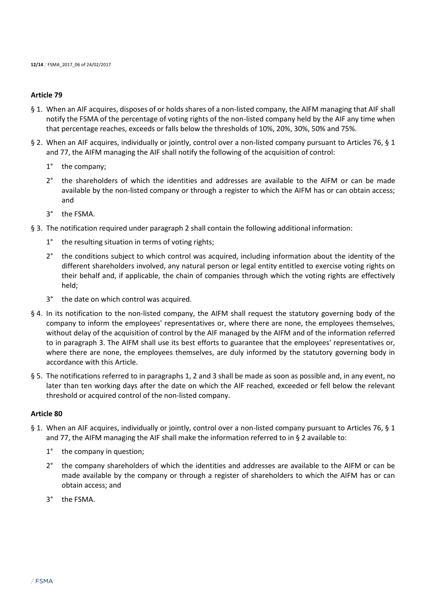### **Article 79**

- § 1. When an AIF acquires, disposes of or holds shares of a non-listed company, the AIFM managing that AIF shall notify the FSMA of the percentage of voting rights of the non-listed company held by the AIF any time when that percentage reaches, exceeds or falls below the thresholds of 10%, 20%, 30%, 50% and 75%.
- § 2. When an AIF acquires, individually or jointly, control over a non-listed company pursuant to Articles 76, § 1 and 77, the AIFM managing the AIF shall notify the following of the acquisition of control:
	- 1° the company;
	- 2° the shareholders of which the identities and addresses are available to the AIFM or can be made available by the non-listed company or through a register to which the AIFM has or can obtain access; and
	- 3° the FSMA.
- § 3. The notification required under paragraph 2 shall contain the following additional information:
	- 1° the resulting situation in terms of voting rights;
	- 2° the conditions subject to which control was acquired, including information about the identity of the different shareholders involved, any natural person or legal entity entitled to exercise voting rights on their behalf and, if applicable, the chain of companies through which the voting rights are effectively held;
	- 3° the date on which control was acquired.
- § 4. In its notification to the non-listed company, the AIFM shall request the statutory governing body of the company to inform the employees' representatives or, where there are none, the employees themselves, without delay of the acquisition of control by the AIF managed by the AIFM and of the information referred to in paragraph 3. The AIFM shall use its best efforts to guarantee that the employees' representatives or, where there are none, the employees themselves, are duly informed by the statutory governing body in accordance with this Article.
- § 5. The notifications referred to in paragraphs 1, 2 and 3 shall be made as soon as possible and, in any event, no later than ten working days after the date on which the AIF reached, exceeded or fell below the relevant threshold or acquired control of the non-listed company.

#### **Article 80**

- § 1. When an AIF acquires, individually or jointly, control over a non-listed company pursuant to Articles 76, § 1 and 77, the AIFM managing the AIF shall make the information referred to in § 2 available to:
	- 1° the company in question;
	- 2° the company shareholders of which the identities and addresses are available to the AIFM or can be made available by the company or through a register of shareholders to which the AIFM has or can obtain access; and
	- 3° the FSMA.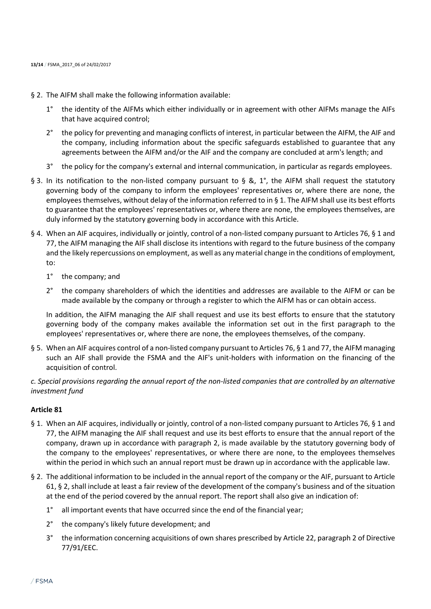- § 2. The AIFM shall make the following information available:
	- 1° the identity of the AIFMs which either individually or in agreement with other AIFMs manage the AIFs that have acquired control;
	- 2° the policy for preventing and managing conflicts of interest, in particular between the AIFM, the AIF and the company, including information about the specific safeguards established to guarantee that any agreements between the AIFM and/or the AIF and the company are concluded at arm's length; and
	- 3° the policy for the company's external and internal communication, in particular as regards employees.
- § 3. In its notification to the non-listed company pursuant to § &, 1°, the AIFM shall request the statutory governing body of the company to inform the employees' representatives or, where there are none, the employees themselves, without delay of the information referred to in § 1. The AIFM shall use its best efforts to guarantee that the employees' representatives or, where there are none, the employees themselves, are duly informed by the statutory governing body in accordance with this Article.
- § 4. When an AIF acquires, individually or jointly, control of a non-listed company pursuant to Articles 76, § 1 and 77, the AIFM managing the AIF shall disclose its intentions with regard to the future business of the company and the likely repercussions on employment, as well as any material change in the conditions of employment, to:
	- 1° the company; and
	- 2° the company shareholders of which the identities and addresses are available to the AIFM or can be made available by the company or through a register to which the AIFM has or can obtain access.

In addition, the AIFM managing the AIF shall request and use its best efforts to ensure that the statutory governing body of the company makes available the information set out in the first paragraph to the employees' representatives or, where there are none, the employees themselves, of the company.

§ 5. When an AIF acquires control of a non-listed company pursuant to Articles 76, § 1 and 77, the AIFM managing such an AIF shall provide the FSMA and the AIF's unit-holders with information on the financing of the acquisition of control.

*c. Special provisions regarding the annual report of the non-listed companies that are controlled by an alternative investment fund*

### **Article 81**

- § 1. When an AIF acquires, individually or jointly, control of a non-listed company pursuant to Articles 76, § 1 and 77, the AIFM managing the AIF shall request and use its best efforts to ensure that the annual report of the company, drawn up in accordance with paragraph 2, is made available by the statutory governing body of the company to the employees' representatives, or where there are none, to the employees themselves within the period in which such an annual report must be drawn up in accordance with the applicable law.
- § 2. The additional information to be included in the annual report of the company or the AIF, pursuant to Article 61, § 2, shall include at least a fair review of the development of the company's business and of the situation at the end of the period covered by the annual report. The report shall also give an indication of:
	- 1° all important events that have occurred since the end of the financial year;
	- 2° the company's likely future development; and
	- 3° the information concerning acquisitions of own shares prescribed by Article 22, paragraph 2 of Directive 77/91/EEC.